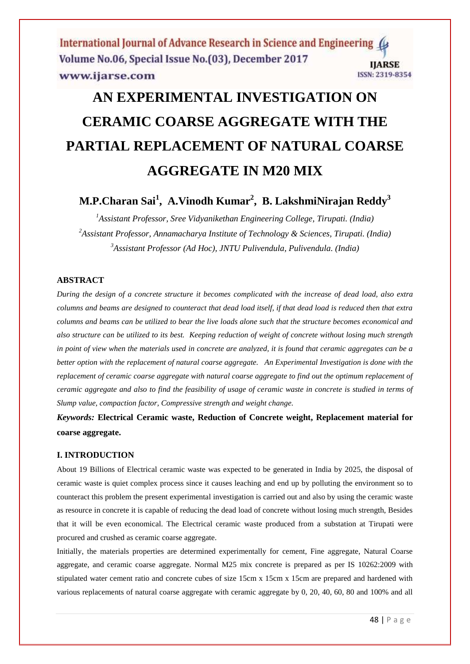International Journal of Advance Research in Science and Engineering ( Volume No.06, Special Issue No.(03), December 2017 **IJARSE** ISSN: 2319-8354 www.ijarse.com

# **AN EXPERIMENTAL INVESTIGATION ON CERAMIC COARSE AGGREGATE WITH THE PARTIAL REPLACEMENT OF NATURAL COARSE AGGREGATE IN M20 MIX**

# **M.P.Charan Sai<sup>1</sup> , A.Vinodh Kumar<sup>2</sup> , B. LakshmiNirajan Reddy<sup>3</sup>**

*<sup>1</sup>Assistant Professor, Sree Vidyanikethan Engineering College, Tirupati. (India) <sup>2</sup>Assistant Professor, Annamacharya Institute of Technology & Sciences, Tirupati. (India) <sup>3</sup>Assistant Professor (Ad Hoc), JNTU Pulivendula, Pulivendula. (India)*

# **ABSTRACT**

*During the design of a concrete structure it becomes complicated with the increase of dead load, also extra columns and beams are designed to counteract that dead load itself, if that dead load is reduced then that extra columns and beams can be utilized to bear the live loads alone such that the structure becomes economical and also structure can be utilized to its best. Keeping reduction of weight of concrete without losing much strength in point of view when the materials used in concrete are analyzed, it is found that ceramic aggregates can be a better option with the replacement of natural coarse aggregate. An Experimental Investigation is done with the replacement of ceramic coarse aggregate with natural coarse aggregate to find out the optimum replacement of ceramic aggregate and also to find the feasibility of usage of ceramic waste in concrete is studied in terms of Slump value, compaction factor, Compressive strength and weight change.*

*Keywords:* **Electrical Ceramic waste, Reduction of Concrete weight, Replacement material for coarse aggregate.**

#### **I. INTRODUCTION**

About 19 Billions of Electrical ceramic waste was expected to be generated in India by 2025, the disposal of ceramic waste is quiet complex process since it causes leaching and end up by polluting the environment so to counteract this problem the present experimental investigation is carried out and also by using the ceramic waste as resource in concrete it is capable of reducing the dead load of concrete without losing much strength, Besides that it will be even economical. The Electrical ceramic waste produced from a substation at Tirupati were procured and crushed as ceramic coarse aggregate.

Initially, the materials properties are determined experimentally for cement, Fine aggregate, Natural Coarse aggregate, and ceramic coarse aggregate. Normal M25 mix concrete is prepared as per IS 10262:2009 with stipulated water cement ratio and concrete cubes of size 15cm x 15cm x 15cm are prepared and hardened with various replacements of natural coarse aggregate with ceramic aggregate by 0, 20, 40, 60, 80 and 100% and all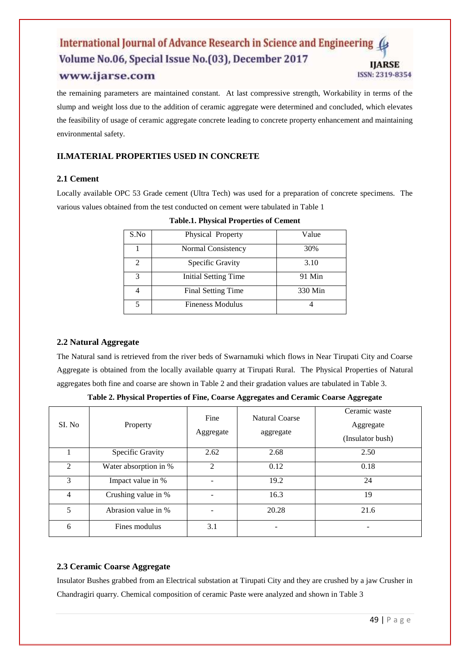#### International Journal of Advance Research in Science and Engineering ( Volume No.06, Special Issue No.(03), December 2017 **IJARSE** ISSN: 2319-8354 www.ijarse.com

the remaining parameters are maintained constant. At last compressive strength, Workability in terms of the slump and weight loss due to the addition of ceramic aggregate were determined and concluded, which elevates the feasibility of usage of ceramic aggregate concrete leading to concrete property enhancement and maintaining environmental safety.

# **II.MATERIAL PROPERTIES USED IN CONCRETE**

# **2.1 Cement**

Locally available OPC 53 Grade cement (Ultra Tech) was used for a preparation of concrete specimens. The various values obtained from the test conducted on cement were tabulated in Table 1

| S.No | Physical Property       | Value   |
|------|-------------------------|---------|
|      | Normal Consistency      | 30%     |
| 2    | Specific Gravity        | 3.10    |
| 3    | Initial Setting Time    | 91 Min  |
|      | Final Setting Time      | 330 Min |
|      | <b>Fineness Modulus</b> |         |

**Table.1. Physical Properties of Cement**

# **2.2 Natural Aggregate**

The Natural sand is retrieved from the river beds of Swarnamuki which flows in Near Tirupati City and Coarse Aggregate is obtained from the locally available quarry at Tirupati Rural. The Physical Properties of Natural aggregates both fine and coarse are shown in Table 2 and their gradation values are tabulated in Table 3.

| SI. No                      | Property              | Fine<br>Aggregate        | <b>Natural Coarse</b><br>aggregate | Ceramic waste<br>Aggregate<br>(Insulator bush) |
|-----------------------------|-----------------------|--------------------------|------------------------------------|------------------------------------------------|
|                             | Specific Gravity      | 2.62                     | 2.68                               | 2.50                                           |
| $\mathcal{D}_{\mathcal{L}}$ | Water absorption in % | $\mathfrak{D}$           | 0.12                               | 0.18                                           |
| 3                           | Impact value in %     | $\qquad \qquad -$        | 19.2                               | 24                                             |
| $\overline{4}$              | Crushing value in %   | $\overline{\phantom{a}}$ | 16.3                               | 19                                             |
| 5                           | Abrasion value in %   |                          | 20.28                              | 21.6                                           |
| 6                           | Fines modulus         | 3.1                      |                                    |                                                |

**Table 2. Physical Properties of Fine, Coarse Aggregates and Ceramic Coarse Aggregate** 

# **2.3 Ceramic Coarse Aggregate**

Insulator Bushes grabbed from an Electrical substation at Tirupati City and they are crushed by a jaw Crusher in Chandragiri quarry. Chemical composition of ceramic Paste were analyzed and shown in Table 3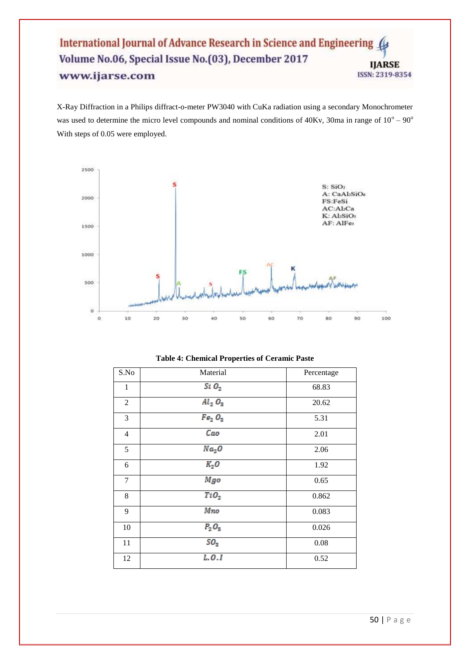### International Journal of Advance Research in Science and Engineering 4 Volume No.06, Special Issue No.(03), December 2017 **IJARSE** www.ijarse.com ISSN: 2319-8354

X-Ray Diffraction in a Philips diffract-o-meter PW3040 with CuKa radiation using a secondary Monochrometer was used to determine the micro level compounds and nominal conditions of  $40Kv$ , 30ma in range of  $10^{\circ} - 90^{\circ}$ With steps of 0.05 were employed.



| S.No           | Material                       | Percentage |
|----------------|--------------------------------|------------|
| 1              | $Si$ $O_2$                     | 68.83      |
| $\overline{2}$ | $Al_2$ $O_3$                   | 20.62      |
| 3              | Fe <sub>2</sub> O <sub>3</sub> | 5.31       |
| $\overline{4}$ | Cao                            | 2.01       |
| 5              | Na <sub>2</sub> O              | 2.06       |
| 6              | $K_2O$                         | 1.92       |
| $\tau$         | Mgo                            | 0.65       |
| 8              | TiO <sub>2</sub>               | 0.862      |
| 9              | Mno                            | 0.083      |
| 10             | $P_2O_5$                       | 0.026      |
| 11             | SO <sub>3</sub>                | 0.08       |
| 12             | L.0.1                          | 0.52       |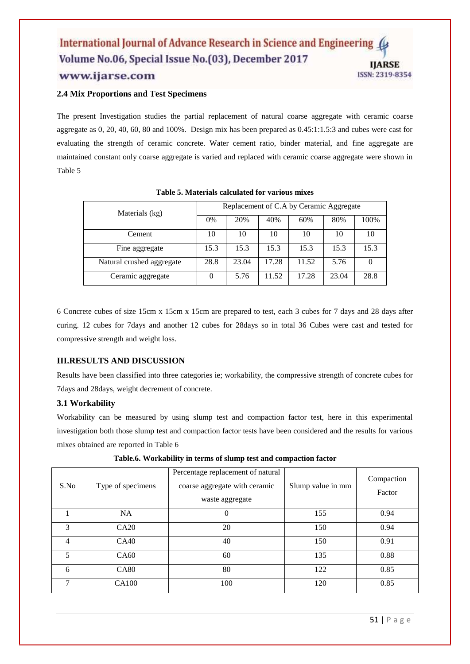#### International Journal of Advance Research in Science and Engineering Volume No.06, Special Issue No.(03), December 2017 **IJARSE** www.ijarse.com ISSN: 2319-8354

## **2.4 Mix Proportions and Test Specimens**

The present Investigation studies the partial replacement of natural coarse aggregate with ceramic coarse aggregate as 0, 20, 40, 60, 80 and 100%. Design mix has been prepared as 0.45:1:1.5:3 and cubes were cast for evaluating the strength of ceramic concrete. Water cement ratio, binder material, and fine aggregate are maintained constant only coarse aggregate is varied and replaced with ceramic coarse aggregate were shown in Table 5

| Materials (kg)            | Replacement of C.A by Ceramic Aggregate |       |       |       |       |          |
|---------------------------|-----------------------------------------|-------|-------|-------|-------|----------|
|                           | 0%                                      | 20%   | 40%   | 60%   | 80%   | 100%     |
| Cement                    | 10                                      | 10    | 10    | 10    | 10    | 10       |
| Fine aggregate            | 15.3                                    | 15.3  | 15.3  | 15.3  | 15.3  | 15.3     |
| Natural crushed aggregate | 28.8                                    | 23.04 | 17.28 | 11.52 | 5.76  | $\theta$ |
| Ceramic aggregate         | $\theta$                                | 5.76  | 11.52 | 17.28 | 23.04 | 28.8     |

**Table 5. Materials calculated for various mixes**

6 Concrete cubes of size 15cm x 15cm x 15cm are prepared to test, each 3 cubes for 7 days and 28 days after curing. 12 cubes for 7days and another 12 cubes for 28days so in total 36 Cubes were cast and tested for compressive strength and weight loss.

# **III.RESULTS AND DISCUSSION**

Results have been classified into three categories ie; workability, the compressive strength of concrete cubes for 7days and 28days, weight decrement of concrete.

### **3.1 Workability**

Workability can be measured by using slump test and compaction factor test, here in this experimental investigation both those slump test and compaction factor tests have been considered and the results for various mixes obtained are reported in Table 6

| S.No | Type of specimens | Percentage replacement of natural<br>coarse aggregate with ceramic<br>waste aggregate | Slump value in mm | Compaction<br>Factor |
|------|-------------------|---------------------------------------------------------------------------------------|-------------------|----------------------|
|      | <b>NA</b>         | 0                                                                                     | 155               | 0.94                 |
| 3    | CA20              | 20                                                                                    | 150               | 0.94                 |
| 4    | CA40              | 40                                                                                    | 150               | 0.91                 |
| 5    | CA <sub>60</sub>  | 60                                                                                    | 135               | 0.88                 |
| 6    | <b>CA80</b>       | 80                                                                                    | 122               | 0.85                 |
| 7    | CA100             | 100                                                                                   | 120               | 0.85                 |

**Table.6. Workability in terms of slump test and compaction factor**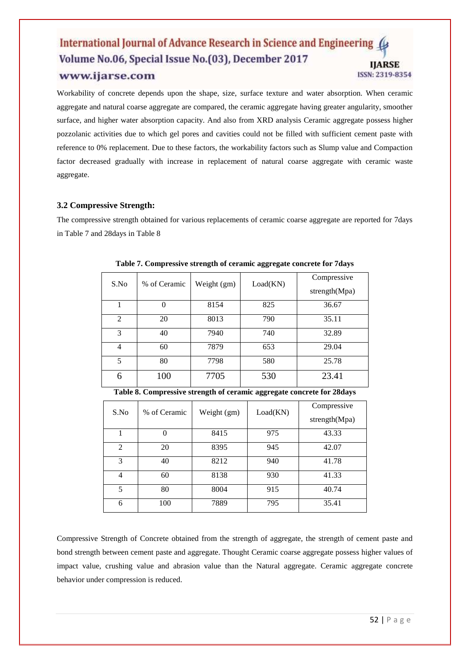#### International Journal of Advance Research in Science and Engineering ( Volume No.06, Special Issue No.(03), December 2017 **IJARSE** www.ijarse.com ISSN: 2319-8354

Workability of concrete depends upon the shape, size, surface texture and water absorption. When ceramic aggregate and natural coarse aggregate are compared, the ceramic aggregate having greater angularity, smoother surface, and higher water absorption capacity. And also from XRD analysis Ceramic aggregate possess higher pozzolanic activities due to which gel pores and cavities could not be filled with sufficient cement paste with reference to 0% replacement. Due to these factors, the workability factors such as Slump value and Compaction factor decreased gradually with increase in replacement of natural coarse aggregate with ceramic waste aggregate.

# **3.2 Compressive Strength:**

The compressive strength obtained for various replacements of ceramic coarse aggregate are reported for 7days in Table 7 and 28days in Table 8

| S.No           | % of Ceramic | Weight (gm) | Load(KN) | Compressive<br>strength(Mpa) |
|----------------|--------------|-------------|----------|------------------------------|
|                | 0            | 8154        | 825      | 36.67                        |
| $\overline{c}$ | 20           | 8013        | 790      | 35.11                        |
| 3              | 40           | 7940        | 740      | 32.89                        |
| 4              | 60           | 7879        | 653      | 29.04                        |
| 5              | 80           | 7798        | 580      | 25.78                        |
| 6              | 100          | 7705        | 530      | 23.41                        |

**Table 7. Compressive strength of ceramic aggregate concrete for 7days**

**Table 8. Compressive strength of ceramic aggregate concrete for 28days**

| S.No           | % of Ceramic | Weight (gm) | Load(KN) | Compressive<br>strength(Mpa) |
|----------------|--------------|-------------|----------|------------------------------|
|                |              | 8415        | 975      | 43.33                        |
| $\overline{c}$ | 20           | 8395        | 945      | 42.07                        |
| 3              | 40           | 8212        | 940      | 41.78                        |
| 4              | 60           | 8138        | 930      | 41.33                        |
| 5              | 80           | 8004        | 915      | 40.74                        |
| 6              | 100          | 7889        | 795      | 35.41                        |

Compressive Strength of Concrete obtained from the strength of aggregate, the strength of cement paste and bond strength between cement paste and aggregate. Thought Ceramic coarse aggregate possess higher values of impact value, crushing value and abrasion value than the Natural aggregate. Ceramic aggregate concrete behavior under compression is reduced.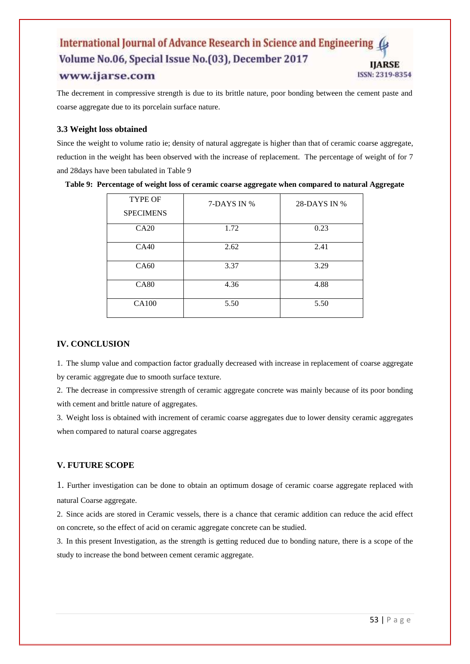#### International Journal of Advance Research in Science and Engineering Volume No.06, Special Issue No.(03), December 2017 **HARSE** www.ijarse.com ISSN: 2319-8354

The decrement in compressive strength is due to its brittle nature, poor bonding between the cement paste and coarse aggregate due to its porcelain surface nature.

## **3.3 Weight loss obtained**

Since the weight to volume ratio ie; density of natural aggregate is higher than that of ceramic coarse aggregate, reduction in the weight has been observed with the increase of replacement. The percentage of weight of for 7 and 28days have been tabulated in Table 9

| <b>TYPE OF</b><br><b>SPECIMENS</b> | 7-DAYS IN % | 28-DAYS IN % |
|------------------------------------|-------------|--------------|
| CA20                               | 1.72        | 0.23         |
| CA40                               | 2.62        | 2.41         |
| CA60                               | 3.37        | 3.29         |
| <b>CA80</b>                        | 4.36        | 4.88         |
| <b>CA100</b>                       | 5.50        | 5.50         |

**Table 9: Percentage of weight loss of ceramic coarse aggregate when compared to natural Aggregate**

# **IV. CONCLUSION**

1. The slump value and compaction factor gradually decreased with increase in replacement of coarse aggregate by ceramic aggregate due to smooth surface texture.

2. The decrease in compressive strength of ceramic aggregate concrete was mainly because of its poor bonding with cement and brittle nature of aggregates.

3. Weight loss is obtained with increment of ceramic coarse aggregates due to lower density ceramic aggregates when compared to natural coarse aggregates

### **V. FUTURE SCOPE**

1. Further investigation can be done to obtain an optimum dosage of ceramic coarse aggregate replaced with natural Coarse aggregate.

2. Since acids are stored in Ceramic vessels, there is a chance that ceramic addition can reduce the acid effect on concrete, so the effect of acid on ceramic aggregate concrete can be studied.

3. In this present Investigation, as the strength is getting reduced due to bonding nature, there is a scope of the study to increase the bond between cement ceramic aggregate.